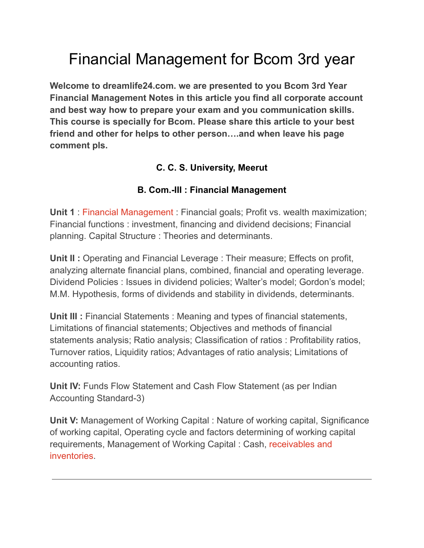## Financial Management for Bcom 3rd year

**Welcome to dreamlife24.com. we are presented to you Bcom 3rd Year Financial Management Notes in this article you find all corporate account and best way how to prepare your exam and you communication skills. This course is specially for Bcom. Please share this article to your best friend and other for helps to other person….and when leave his page comment pls.**

## **C. C. S. University, Meerut**

## **B. Com.-III : Financial Management**

**Unit 1** : Financial [Management](https://dreamlife24.com/financial-management-notes-in-hindi-pdf/) : Financial goals; Profit vs. wealth maximization; Financial functions : investment, financing and dividend decisions; Financial planning. Capital Structure : Theories and determinants.

**Unit II :** Operating and Financial Leverage : Their measure; Effects on profit, analyzing alternate financial plans, combined, financial and operating leverage. Dividend Policies : Issues in dividend policies; Walter's model; Gordon's model; M.M. Hypothesis, forms of dividends and stability in dividends, determinants.

**Unit III :** Financial Statements : Meaning and types of financial statements, Limitations of financial statements; Objectives and methods of financial statements analysis; Ratio analysis; Classification of ratios : Profitability ratios, Turnover ratios, Liquidity ratios; Advantages of ratio analysis; Limitations of accounting ratios.

**Unit IV:** Funds Flow Statement and Cash Flow Statement (as per Indian Accounting Standard-3)

**Unit V:** Management of Working Capital : Nature of working capital, Significance of working capital, Operating cycle and factors determining of working capital requirements, Management of Working Capital : Cash, [receivables](https://dreamlife24.com/management-of-cash-receivables-and-inventory/) and [inventories.](https://dreamlife24.com/management-of-cash-receivables-and-inventory/)